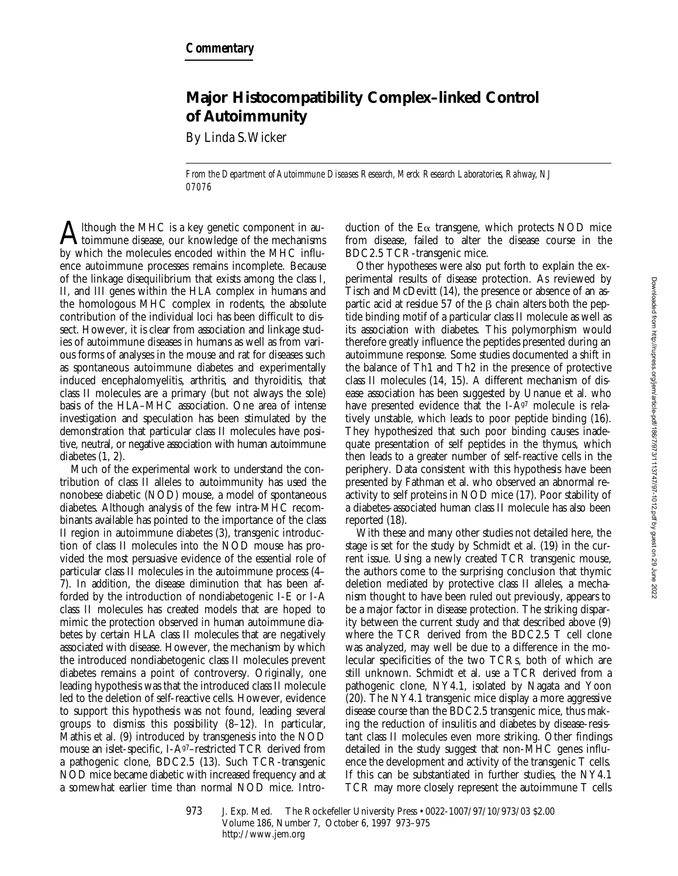## **Major Histocompatibility Complex–linked Control of Autoimmunity**

By Linda S. Wicker

*From the Department of Autoimmune Diseases Research, Merck Research Laboratories, Rahway, NJ 07076*

Ithough the MHC is a key genetic component in autoimmune disease, our knowledge of the mechanisms by which the molecules encoded within the MHC influence autoimmune processes remains incomplete. Because of the linkage disequilibrium that exists among the class I, II, and III genes within the HLA complex in humans and the homologous MHC complex in rodents, the absolute contribution of the individual loci has been difficult to dissect. However, it is clear from association and linkage studies of autoimmune diseases in humans as well as from various forms of analyses in the mouse and rat for diseases such as spontaneous autoimmune diabetes and experimentally induced encephalomyelitis, arthritis, and thyroiditis, that class II molecules are a primary (but not always the sole) basis of the HLA–MHC association. One area of intense investigation and speculation has been stimulated by the demonstration that particular class II molecules have positive, neutral, or negative association with human autoimmune diabetes (1, 2).

Much of the experimental work to understand the contribution of class II alleles to autoimmunity has used the nonobese diabetic (NOD) mouse, a model of spontaneous diabetes. Although analysis of the few intra-MHC recombinants available has pointed to the importance of the class II region in autoimmune diabetes (3), transgenic introduction of class II molecules into the NOD mouse has provided the most persuasive evidence of the essential role of particular class II molecules in the autoimmune process (4– 7). In addition, the disease diminution that has been afforded by the introduction of nondiabetogenic I-E or I-A class II molecules has created models that are hoped to mimic the protection observed in human autoimmune diabetes by certain HLA class II molecules that are negatively associated with disease. However, the mechanism by which the introduced nondiabetogenic class II molecules prevent diabetes remains a point of controversy. Originally, one leading hypothesis was that the introduced class II molecule led to the deletion of self-reactive cells. However, evidence to support this hypothesis was not found, leading several groups to dismiss this possibility (8–12). In particular, Mathis et al. (9) introduced by transgenesis into the NOD mouse an islet-specific, I-A<sup>g7</sup>-restricted TCR derived from a pathogenic clone, BDC2.5 (13). Such TCR-transgenic NOD mice became diabetic with increased frequency and at a somewhat earlier time than normal NOD mice. Intro-

duction of the  $E\alpha$  transgene, which protects NOD mice from disease, failed to alter the disease course in the BDC2.5 TCR-transgenic mice.

Other hypotheses were also put forth to explain the experimental results of disease protection. As reviewed by Tisch and McDevitt (14), the presence or absence of an aspartic acid at residue 57 of the  $\beta$  chain alters both the peptide binding motif of a particular class II molecule as well as its association with diabetes. This polymorphism would therefore greatly influence the peptides presented during an autoimmune response. Some studies documented a shift in the balance of Th1 and Th2 in the presence of protective class II molecules (14, 15). A different mechanism of disease association has been suggested by Unanue et al. who have presented evidence that the I- $A^{g7}$  molecule is relatively unstable, which leads to poor peptide binding (16). They hypothesized that such poor binding causes inadequate presentation of self peptides in the thymus, which then leads to a greater number of self-reactive cells in the periphery. Data consistent with this hypothesis have been presented by Fathman et al. who observed an abnormal reactivity to self proteins in NOD mice (17). Poor stability of a diabetes-associated human class II molecule has also been reported (18).

With these and many other studies not detailed here, the stage is set for the study by Schmidt et al. (19) in the current issue. Using a newly created TCR transgenic mouse, the authors come to the surprising conclusion that thymic deletion mediated by protective class II alleles, a mechanism thought to have been ruled out previously, appears to be a major factor in disease protection. The striking disparity between the current study and that described above (9) where the TCR derived from the BDC2.5 T cell clone was analyzed, may well be due to a difference in the molecular specificities of the two TCRs, both of which are still unknown. Schmidt et al. use a TCR derived from a pathogenic clone, NY4.1, isolated by Nagata and Yoon (20). The NY4.1 transgenic mice display a more aggressive disease course than the BDC2.5 transgenic mice, thus making the reduction of insulitis and diabetes by disease-resistant class II molecules even more striking. Other findings detailed in the study suggest that non-MHC genes influence the development and activity of the transgenic T cells. If this can be substantiated in further studies, the NY4.1 TCR may more closely represent the autoimmune T cells

<sup>973</sup> J. Exp. Med. © The Rockefeller University Press • 0022-1007/97/10/973/03 \$2.00 Volume 186, Number 7, October 6, 1997 973–975 http://www.jem.org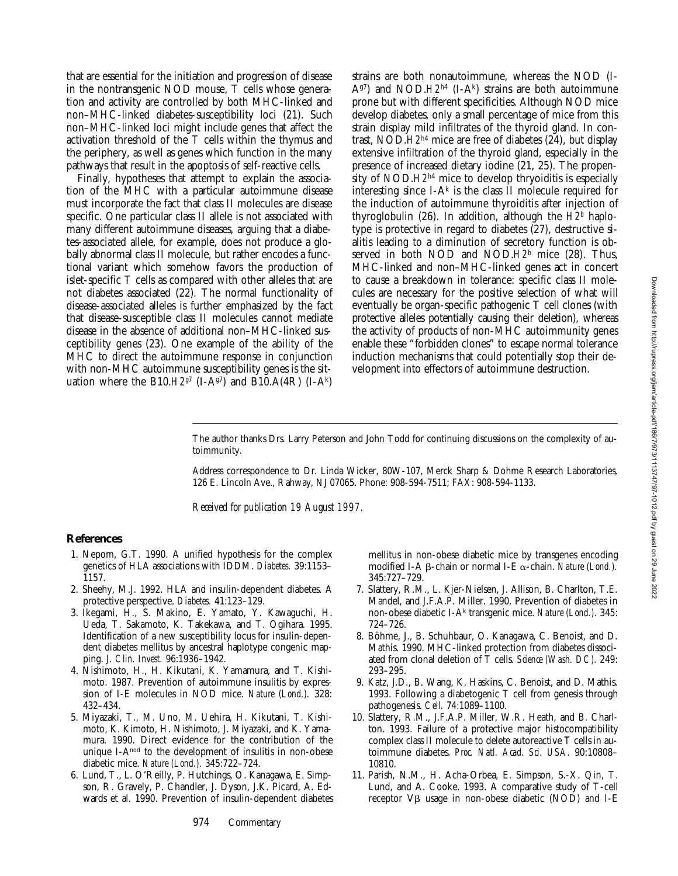that are essential for the initiation and progression of disease in the nontransgenic NOD mouse, T cells whose generation and activity are controlled by both MHC-linked and non–MHC-linked diabetes-susceptibility loci (21). Such non–MHC-linked loci might include genes that affect the activation threshold of the T cells within the thymus and the periphery, as well as genes which function in the many pathways that result in the apoptosis of self-reactive cells.

Finally, hypotheses that attempt to explain the association of the MHC with a particular autoimmune disease must incorporate the fact that class II molecules are disease specific. One particular class II allele is not associated with many different autoimmune diseases, arguing that a diabetes-associated allele, for example, does not produce a globally abnormal class II molecule, but rather encodes a functional variant which somehow favors the production of islet-specific T cells as compared with other alleles that are not diabetes associated (22). The normal functionality of disease-associated alleles is further emphasized by the fact that disease-susceptible class II molecules cannot mediate disease in the absence of additional non–MHC-linked susceptibility genes (23). One example of the ability of the MHC to direct the autoimmune response in conjunction with non-MHC autoimmune susceptibility genes is the situation where the B10. $H2^{g7}$  (I-A $^{g7}$ ) and B10.A(4R) (I-A<sup>k</sup>)

strains are both nonautoimmune, whereas the NOD (I-Ag7) and NOD.*H2<sup>h4</sup>* (I-Ak) strains are both autoimmune prone but with different specificities. Although NOD mice develop diabetes, only a small percentage of mice from this strain display mild infiltrates of the thyroid gland. In contrast, NOD.*H2h*4 mice are free of diabetes (24), but display extensive infiltration of the thyroid gland, especially in the presence of increased dietary iodine (21, 25). The propensity of NOD.*H2h*4 mice to develop thryoiditis is especially interesting since I-A $^k$  is the class II molecule required for the induction of autoimmune thyroiditis after injection of thyroglobulin (26). In addition, although the *H2b* haplotype is protective in regard to diabetes (27), destructive sialitis leading to a diminution of secretory function is observed in both NOD and NOD.*H2b* mice (28). Thus, MHC-linked and non–MHC-linked genes act in concert to cause a breakdown in tolerance: specific class II molecules are necessary for the positive selection of what will eventually be organ-specific pathogenic T cell clones (with protective alleles potentially causing their deletion), whereas the activity of products of non-MHC autoimmunity genes enable these "forbidden clones" to escape normal tolerance induction mechanisms that could potentially stop their development into effectors of autoimmune destruction.

The author thanks Drs. Larry Peterson and John Todd for continuing discussions on the complexity of autoimmunity.

Address correspondence to Dr. Linda Wicker, 80W-107, Merck Sharp & Dohme Research Laboratories, 126 E. Lincoln Ave., Rahway, NJ 07065. Phone: 908-594-7511; FAX: 908-594-1133.

*Received for publication 19 August 1997.*

## **References**

- 1. Nepom, G.T. 1990. A unified hypothesis for the complex genetics of HLA associations with IDDM. *Diabetes.* 39:1153– 1157.
- 2. Sheehy, M.J. 1992. HLA and insulin-dependent diabetes. A protective perspective. *Diabetes.* 41:123–129.
- 3. Ikegami, H., S. Makino, E. Yamato, Y. Kawaguchi, H. Ueda, T. Sakamoto, K. Takekawa, and T. Ogihara. 1995. Identification of a new susceptibility locus for insulin-dependent diabetes mellitus by ancestral haplotype congenic mapping. *J. Clin. Invest.* 96:1936–1942.
- 4. Nishimoto, H., H. Kikutani, K. Yamamura, and T. Kishimoto. 1987. Prevention of autoimmune insulitis by expression of I-E molecules in NOD mice. *Nature (Lond.).* 328: 432–434.
- 5. Miyazaki, T., M. Uno, M. Uehira, H. Kikutani, T. Kishimoto, K. Kimoto, H. Nishimoto, J. Miyazaki, and K. Yamamura. 1990. Direct evidence for the contribution of the unique I-Anod to the development of insulitis in non-obese diabetic mice. *Nature (Lond.).* 345:722–724.
- 6. Lund, T., L. O'Reilly, P. Hutchings, O. Kanagawa, E. Simpson, R. Gravely, P. Chandler, J. Dyson, J.K. Picard, A. Edwards et al. 1990. Prevention of insulin-dependent diabetes

mellitus in non-obese diabetic mice by transgenes encoding modified I-A β-chain or normal I-E α-chain. *Nature (Lond.)*. 345:727–729.

- 7. Slattery, R.M., L. Kjer-Nielsen, J. Allison, B. Charlton, T.E. Mandel, and J.F.A.P. Miller. 1990. Prevention of diabetes in non-obese diabetic I-Ak transgenic mice. *Nature (Lond.).* 345: 724–726.
- 8. Böhme, J., B. Schuhbaur, O. Kanagawa, C. Benoist, and D. Mathis. 1990. MHC-linked protection from diabetes dissociated from clonal deletion of T cells. *Science (Wash. DC).* 249: 293–295.
- 9. Katz, J.D., B. Wang, K. Haskins, C. Benoist, and D. Mathis. 1993. Following a diabetogenic T cell from genesis through pathogenesis. *Cell.* 74:1089–1100.
- 10. Slattery, R.M., J.F.A.P. Miller, W.R. Heath, and B. Charlton. 1993. Failure of a protective major histocompatibility complex class II molecule to delete autoreactive T cells in autoimmune diabetes. *Proc. Natl. Acad. Sci. USA.* 90:10808– 10810.
- 11. Parish, N.M., H. Acha-Orbea, E. Simpson, S.-X. Qin, T. Lund, and A. Cooke. 1993. A comparative study of T-cell receptor  $V\beta$  usage in non-obese diabetic (NOD) and I-E